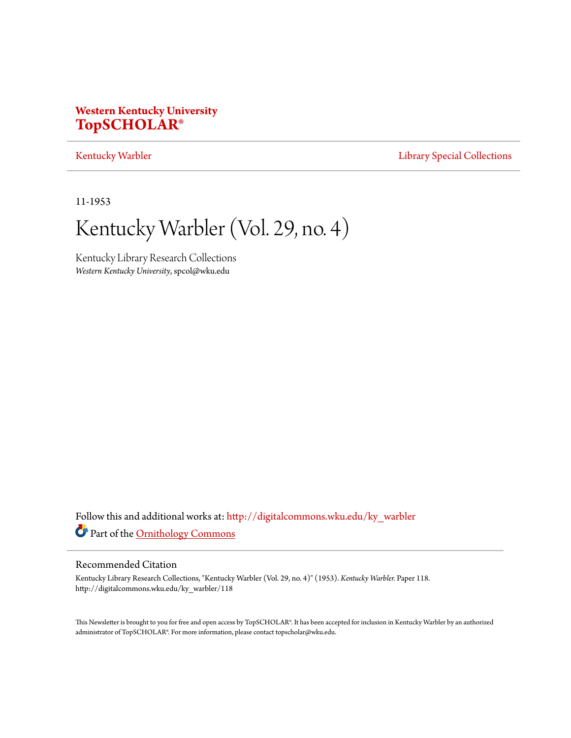# **Western Kentucky University [TopSCHOLAR®](http://digitalcommons.wku.edu?utm_source=digitalcommons.wku.edu%2Fky_warbler%2F118&utm_medium=PDF&utm_campaign=PDFCoverPages)**

# [Kentucky Warbler](http://digitalcommons.wku.edu/ky_warbler?utm_source=digitalcommons.wku.edu%2Fky_warbler%2F118&utm_medium=PDF&utm_campaign=PDFCoverPages) **[Library Special Collections](http://digitalcommons.wku.edu/dlsc?utm_source=digitalcommons.wku.edu%2Fky_warbler%2F118&utm_medium=PDF&utm_campaign=PDFCoverPages)**

11-1953

# Kentucky Warbler (Vol. 29, no. 4)

Kentucky Library Research Collections *Western Kentucky University*, spcol@wku.edu

Follow this and additional works at: [http://digitalcommons.wku.edu/ky\\_warbler](http://digitalcommons.wku.edu/ky_warbler?utm_source=digitalcommons.wku.edu%2Fky_warbler%2F118&utm_medium=PDF&utm_campaign=PDFCoverPages) Part of the [Ornithology Commons](http://network.bepress.com/hgg/discipline/1190?utm_source=digitalcommons.wku.edu%2Fky_warbler%2F118&utm_medium=PDF&utm_campaign=PDFCoverPages)

# Recommended Citation

Kentucky Library Research Collections, "Kentucky Warbler (Vol. 29, no. 4)" (1953). *Kentucky Warbler.* Paper 118. http://digitalcommons.wku.edu/ky\_warbler/118

This Newsletter is brought to you for free and open access by TopSCHOLAR®. It has been accepted for inclusion in Kentucky Warbler by an authorized administrator of TopSCHOLAR®. For more information, please contact topscholar@wku.edu.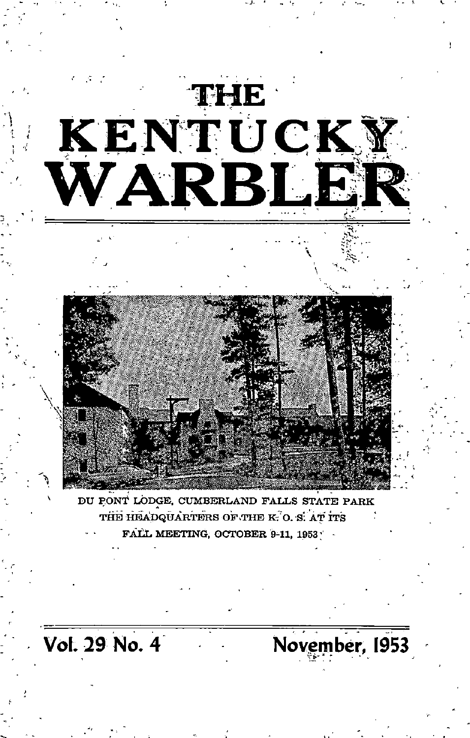

Vol. 29 No. 4 November, 1953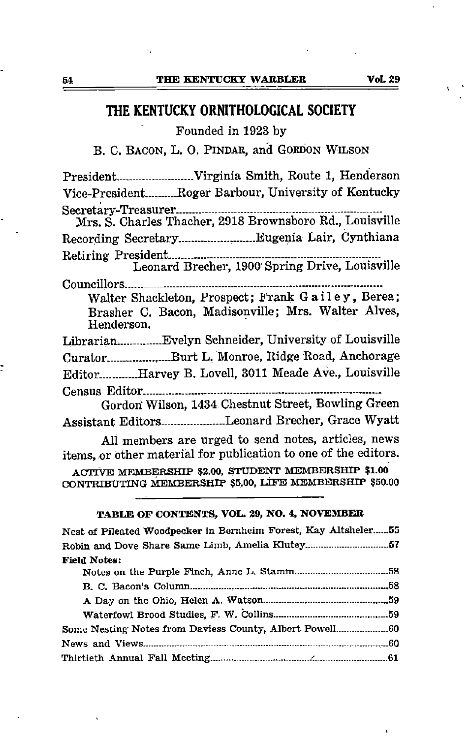# THE KENTUCKY ORNITHOLOGICAL SOCIETY

Founded in 1923 by

B. C. Bacon, L. 0. Pindar, and Gordon Wilson

President Virginia Smith, Route 1, Henderson Vice-President.... Roger Barbour, University of Kentucky Secretary-Treasurer. Mrs. S. Charles Thacher, 2918 Brownsboro Rd., Louisville Recording Secretary. Eugenia Lair, Cynthiana Retiring President Leonard Brecher, 1900 Spring Drive, Louisville Councillors Walter Shackleton, Prospect; Frank Gailey, Berea; Brasher C. Bacon, Madisonville; Mrs. Walter Alves, Henderson, Librarian Evelyn Schneider, University of Louisville Curator..........................Burt L. Monroe, Ridge Road, Anchorage Editor. Harvey B. Lovell, 3011 Meade Ave., Louisville Census Editor Gordon' Wilson, 1434 Chestnut Street, Bowling Green Assistant Editors....................Leonard Brecher, Grace Wyatt

All members are urged to send notes, articles, news items, or other material for publication to one of the editors.

ACTIVE MEMBERSHIP \$2.00, STUDENT MEMBERSHIP \$1.00 CONTRIBUTING MEMBERSHIP \$5.00, LIFE MEMBERSHIP \$50.00

# TABLE OF CONTENTS, VOL. 29, NO. 4, NOVEMBER

| Nest of Pileated Woodpecker in Bernheim Forest, Kay Altsheler 55 |  |
|------------------------------------------------------------------|--|
|                                                                  |  |
| <b>Field Notes:</b>                                              |  |
|                                                                  |  |
|                                                                  |  |
|                                                                  |  |
|                                                                  |  |
|                                                                  |  |
|                                                                  |  |
|                                                                  |  |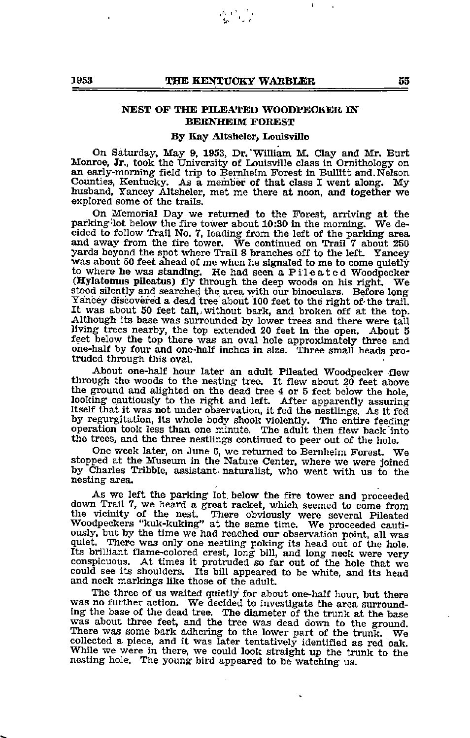# NEST OF THE PILEATED WOODPECKER IN BERNHEIM FOREST

## By Kay Altsheler, Louisville

On Saturday, May 9, 1953, Dr. William M. Clay and Mr. Burt Monroe, Jr., took the University of Louisville class in Ornithology on an early-morning-field trip to Bernheim Forest in Bullitt and.Nelson Counties, Kentucky. As a member of that class I went along. My husband, Yancey Altsheler, met me there at noon, and together we explored some of the trails.

On Memorial Day we returned to the Forest, arriving at the parking-lot below the fire tower about 10:30 in the morning. We de cided to follow Trail No. 7, leading from the left of the parking area and away from the fire tower. We continued on Trail <sup>7</sup> about <sup>250</sup> yards beyond the spot where Trail 8 branches off to the left. Yancey was about 50 feet ahead of me when he signaled to me to come quietly to where he was standing. He had seen a Pileated Woodpecker (Hylatomus pileatus) fly through the deep woods on his right. We stood silently and searched the area with our binoculars. Before long Yancey discovered a dead tree about 100 feet to the right of-the trail. It was about 50 feet tall,, without bark, and broken off at the top. Although its base was surrounded by lower trees and there were tall living trees nearby, the top extended 20 feet in the open. About 5 feet below the top there was an oval hole approximately three and one-half by four and one-half inches in size. Three small heads pro truded through this oval.

About one-half hour later an adult Pileated Woodpecker flew through the woods to the nesting tree. It flew about 20 feet above the ground and alighted on the dead tree 4 or 5 feet below the hole, looking cautiously to the right and left. After apparently assuring Itself that it was not imder observation, it fed the nestlings. As it fed by regurgitation, its whole body shook violently. The entire feeding operation took less than one minute. The adult then flew back "into the trees, and the three nestlings continued to peer out of the hole.

One week later, on June 6, we returned to Bemheim Forest. We stopped at the Museum in the Nature Center, where we were joined by Charles Tribble, assistant naturalist, who went with us to the nesting area.

As we left the parking lot. below the fire tower and proceeded down Trail 7, we heard a great racket, which seemed to come from the vicinity of the nest. There obviously were several Pileated Woodpeckers "kuk-kuking" at the same time. We proceeded cauti ously, but by the time we had reached our observation point, all was quiet. There was only one nestling poking its head out of the hole. Its brilliant flame-colored crest, long bill, and long neck were very conspicuous. At times it protruded so far out of the hole that we could see its shoulders. Its bill appeared to be white, and its head and neck markings like those of the adult.

The three of us waited quietly for about one-half hour, but there was no further action. We decided to investigate the area surrounding the base of the dead tree. The diameter of the trunk at the base was about three feet, and the tree wsls dead down to the ground. There was some bark adhering to the lower part of the trunk. We collected a piece, and it was later tentatively identified as red oak. While we were in there, we could look straight up the trunk to the nesting hole. The young bird appeared to be watching us.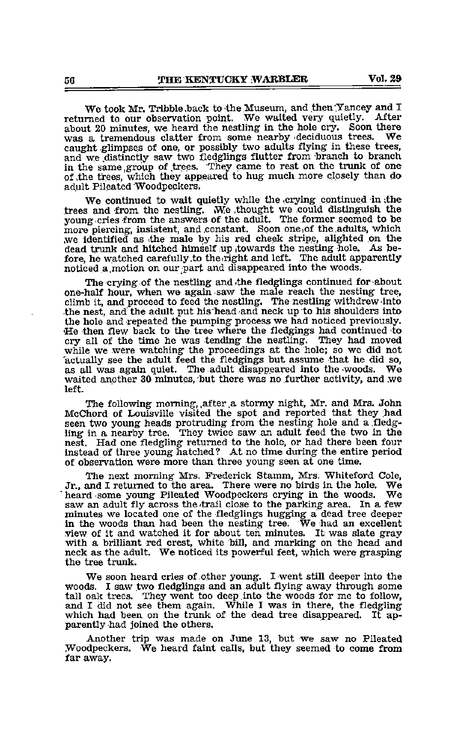We took Mr. Tribble.back to the Museum, and then Yancey and I<br>read to our observation point. We waited very quietly. After returned to our observation point. We waited very quietly. After about 20 minutes, we heard the nestling in the hole cry. Soon there was a tremendous clatter from some nearby deciduous trees. We caught glimpses of one, or possibly two adults flying in these trees, and we distinctly saw two fledglings flutter from branch to branch in the same group of trees. They came to rest on the trunk of one of .the trees, which they appeared to hug much more closely than do adult Pileated Woodpeckers.

We continued to wait quietly while the .crying continued in ithe trees and from the nestling. We thought we could distinguish the voung cries from the answers of the adult. The former seemed to be more piercing, insistent, and constant. Soon one of the adults, which .we identified as ithe male by his red cheek stripe, alighted on the dead trunk and hitched himself up towards the nesting hole. As before, he watched carefully to the right and left. The adult apparently noticed a.motion on our.part and disappeared into the woods.

The crying of the nestling and-the fledglings continued for about one-half hour, when we again saw the male reach the nesting tree, climb it, and proceed to feed the nestling. The nestling withdrew into the nest, and the adult put his head and neck up to his shoulders into the hole and repeated the pumping process we had noticed previously. He then flew back to the tree where the fled^ngs had continued to cry all of the time he was tending the nestling. They had moved while we were watching the proceedings at the hole; so we did not actually see the adult feed the fledgings but assume that he did so, as all was again quiet. The adult disappeared into the woods. We waited another 30 minutes, but there was no further activity, and we left.

The following morning, after a stormy night, Mr. and Mrs. John McChord of Louisville visited the spot and reported that they had seen two young heads protruding from the nesting hole and a fledg ling in a nearby tree. They twice saw an adult feed the two in the nest. Had one fledgling returned to the hole, or had there been four instead of three young hatched? At no time during the entire period of observation were more than three young seen at one time.

The next morning Mrs. Frederick Stamm, Mrs. Whiteford Cole, Jr., and I returned to the area. There were no birds in the hole. We heard some young Pileated Woodpeckers crying in the woods. We heard some young Pileated Woodpeckers crying in the woods. saw an adult fly across the trail close to the parking area. In a few minutes we located one of the fledglings hugging a dead tree deeper in the woods than had been the nesting tree. We had an excellent view of it and watched it for about ten minutes. It was slate gray with a brilliant red crest, white bill, and marking on the head and neck as the adult. We noticed its powerful feet, which were grasping the tree trunk.

We soon heard cries of other young. I went still deeper into the woods. I saw two fledglings and an adult flying away through some tall oak trees. They went too deep into the woods for me to follow, and I did not see them again. While I was in there, the fledgling which had been on the trunk of the dead tree disappeared. It apparently had joined the others.

Another trip was made on June 13, but we saw no Pileated Woodpeckers. We heard faint calls, but they seemed to come from far away.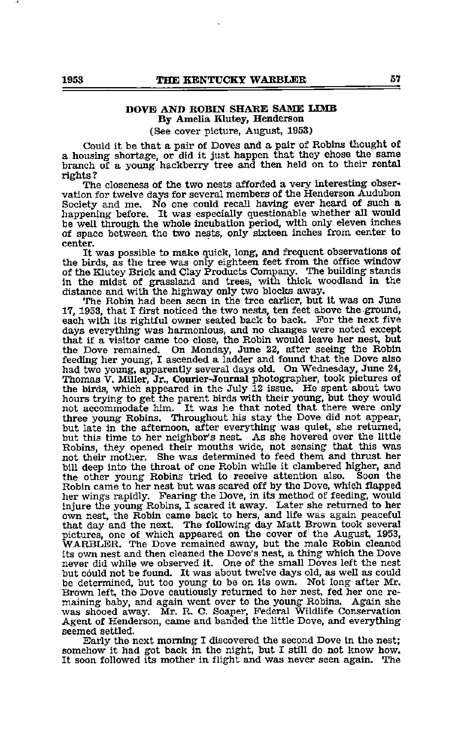# DOVE AND ROBIN SHARE SAME LIMB By Amelia Klutey, Henderson

(See cover picture, August, 1953)

Could it be that <sup>a</sup> pair of Doves and <sup>a</sup> pair of Robins thought of <sup>a</sup> housing shortage, or did it just happen that they chose the same branch of a young hackberry tree and then held on to their rental rights?

The closeness of the two nests afforded a very interesting obser vation for twelve days for several members of the Henderson Audubon Society and me. No one could recall having ever heard of such <sup>a</sup> happening before. It was especially questionable whether all would be well through the whole incubation period, with only eleven inches of space between the two nests, only sixteen inches from center to center.

It was possible to make quick, long, and frequent observations of the birds, as the tree was only eighteen feet from the office window of the Klutey Brick and Clay Products Company. The building stands in the midst of grassland and trees, with thick woodland in the distance and with the highway only two blocks away.

The Robin had been seen in the tree earlier, but it was on June 17, 1953, that I first noticed the two nests, ten feet above the ground, each with its rightful owner seated back to back. For the next five days everything was harmonious, and no changes were noted except that if a visitor came too close, the Robin would leave her nest, but the Dove remained. On Monday, June 22, after seeing the Robin feeding her young, I ascended a ladder and found that the Dove also had two young, apparently several days old. On Wednesday, June 24, Thomas V. Miller, Jr., Courier-Journal photographer, took pictures of the birds, which appeared in the July 12 issue. He spent about two hours trying to get the parent birds with their young, but they would not accommodate him. It was he that noted that there were only three young Robins. Throughout his stay the Dove did not appear, but late in the afternoon, after everything was quiet, she returned, but this time to her neighbor's nest. As she hovered over the little Robins, they opened their mouths wide, not sensing that this was not their mother. She was determined to feed them and thrust her bill deep into the throat of one Robin while it clambered higher, and the other young Robins tried to receive attention also. Soon the Robin came to her nest but was scared off by the Dove, which flapped her wings rapidly. Fearing the Dove, in its method of feeding, would injure the young Robins, <sup>I</sup> scared it away. Later she returned to her own nest, the Robin came back to hers, and life was again peaceful that day and the next. The following day Matt Brown took several pictures, one of which appeared on the cover of the August, 1953, WARBLER. The Dove remained away, but the male Robin cleaned its own nest and then cleaned the Dove's nest, a thing which the Dove never did while we observed it. One of the small Doves left the nest but could not be found. It was about twelve days old, as well as could be determined, but too young to be on its own. Not long after Mr. Brown left, the Dove cautiously returned to her nest, fed her one re maining baby, and again went over to the young Robins. Again she was shooed away. Mr. R. O. Soaper, Federal Wildlife Conservation Agent of Henderson, came and banded the little Dove, and everything seemed settled.

Early the next morning I discovered the second Dove in the nest; somehow it had got back in the night, but I still do not know how. It soon followed its mother in flight and was never seen again. The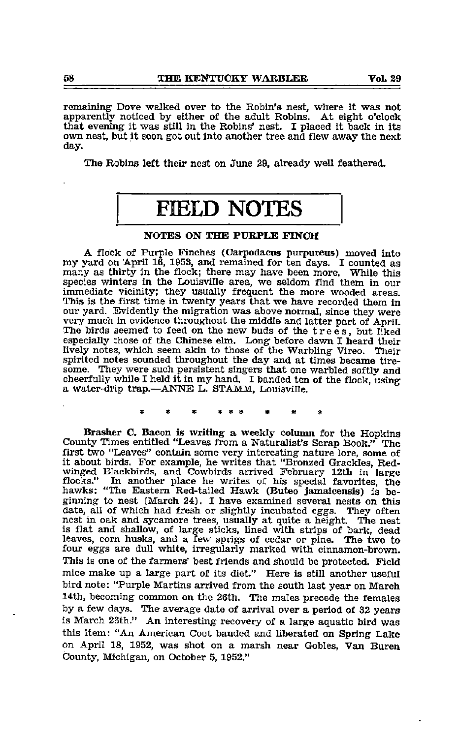remaining- Dove walked over to the Robin's nest, where it was not apparently noticed by either of the adult Robins. At eight o'clock that evening it was still in the Robins' nest. I placed it back in its own nest, but it scon got out into another tree and flew away the next day.

The Robins left their nest on June 29, already well feathered.

# FIELD NOTES

# NOTES ON THE PURPLE FINCH

A flock of Purple Finches (Carpodacus purpureus) moved into my yard on April 16, 1953, and remained for ten days. I counted as many as thirty in the flock; there may have been more. While this species winters in the Louisville area, we seldom find them in our immediate vicinity; they usually frequent the more wooded areas. This is the first time in twenty years that we have recorded them in our yard. Evidently the migration was above normal, since they were very much in evidence throughout the middle and latter part of April. The birds seemed to feed on the new buds of the trees, but liked especially those of the Chinese elm. Long before dawn I heard their lively notes, which seem akin to those of the Warbling Vireo. Their spirited notes sounded throughout the day and at times became tire some. They were such persistent singers that one warbled softly and cheerfully while I held it in my hand. I banded ten of the flock, using a water-drip trap.—^ANNE L, STAMM, Louisville.

Brasher O. Bacon is writing a weekly column for the Hopkins County Times entitled "Leaves from a Naturalist's Scrap Book." The first two "Leaves" contain some very interesting nature lore, some of it about birds. For example, he writes that "Bronzed Crackles, Redwinged Blackbirds, and Cowbirds arrived February 12th in large flocks." In another place he writes of his special favorites, the hawks: "The Eastern Red-tailed Hawk (Buteo jamaicensis) is beginning to nest (March 24). I have examined several nests on this date, all of which had fresh or slightly incubated eggs. They often nest in oak and sycamore trees, usually at quite <sup>a</sup> height. The nest is flat and shallow, of large sticks, lined with strips of bark, dead leaves, com husks, and a few sprigs of cedar or pine. The two to four eggs are dull white, irregularly marked with cinnamon-brown. This is one of the farmers' best friends and should be protected. Field mice make up a large part of its diet." Here is still another useful bird note: "Purple Martins arrived from the south last year on March 14th, becoming common on the 26th. The males precede the females by a few days. The average date of arrival over a period of 32 years is March 26th." An interesting recovery of a large aquatic bird was this item: "An American Coot banded and liberated on Spring Lake on April 18, 1952, was shot on a marsh near Gobies, Van Buren County, Michigan, on October 5, 1952."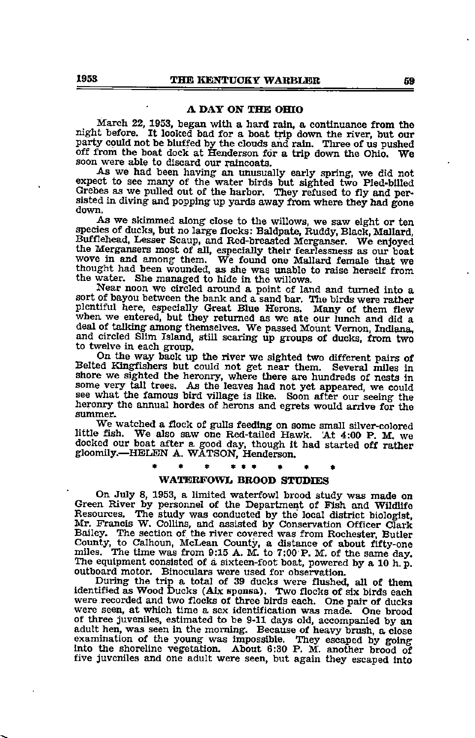## A DAY ON THE OHIO

March 22, 1953, began with a hard rain, a continuance from the night before. It looked bad for a boat trip down the river, but our party could not be bluffed by the clouds and rain. Three of us pushed off from the boat doc soon were able to discard our raincoats.<br>As we had been having an unusually early spring, we did not

expect to see many of the water birds but sighted two Pied-bllled Grebes as we pulled out of the harbor. They refused to fly and per-<br>sisted in diving and popping up yards away from where they had gone<br>down.

As we skimmed along close to the willows, we saw eight or ten species of ducks, but no large flocks: Baldpate, Ruddy, Black, Mallard, Bufflehead, Lesser Scaup, and Red-breasted Merganser. We enjoyed the Mergansers most of all, especially their fearlessness as our boat wove in and among them. We found one Mallard female that we thought had been wounded, as she was imable to raise herself from the water. She managed to hide in the willows.

Near noon we circled around <sup>a</sup> point of land and turned into <sup>a</sup> sort of bayou between the bank and <sup>a</sup> sand bar. The birds were rather plentiful here, especially Great Blue Herons. Many of them flew when we entered, but they returned as we ate our lunch and did a deal of talking among themselves. We passed Mount Vemon. Indiana, and circled Slim Island, still scaring up groups of ducks, from two to twelve in each group.

On the way back up the river we sighted two different pairs of Belted Kingfishers but could not get near them. Several miles in shore we sighted the heronry, where there are hundreds of nests in some very tall trees. As the leaves had not yet appeared, we could see what the famous bird village is like. Soon after our seeing the heronry the annual hordes of herons and egrets would arrive for the summer.

We watched a flock of gulls feeding on some small silver-colored little fish. We also saw one Red-tailed Hawk. At 4:00 P. M. we docked our boat after <sup>a</sup> good day, though it had started off rather gloomily.—HELEN A. WATSON, Henderson.

## WATERFOWL BROOD STUDIES

On July 8, 1953, a limited waterfowl brood study was made on Green River by personnel of the Department of Pish and Wildlife Resources. The study was conducted by the local district biologist, Mr. Francis W. Collins, and assisted by Conservation Officer Clark Bailey. The section of the river covered was from Rochester, Butler County, to Calhoun, McLean County, a distance of about fifty-one miles. The time was from 9:15 A. M. to 7:00 P. M. of the same day. The equipment consisted of a sixteen-foot boat, powered by a 10 h. p. outboard motor. Binoculars were used for observation.

During the trip a total of 39 ducks were flushed, all of them identified as Wood Ducks (Aix sponsa). Two flocks of six birds each were recorded and two flocks of three birds each. One pair of ducks were seen, at which time <sup>a</sup> sex identification was made. One brood of three juveniles, estimated to be 9-11 days old, accompanied by an adult hen, was seen in the morning. Because of heavy brush, <sup>a</sup> close examination of the young was impossible. They escaped by going into the shoreline vegetation. About 6:30 P. M. another brood of five juveniles and one adult were seen, but again they escaped into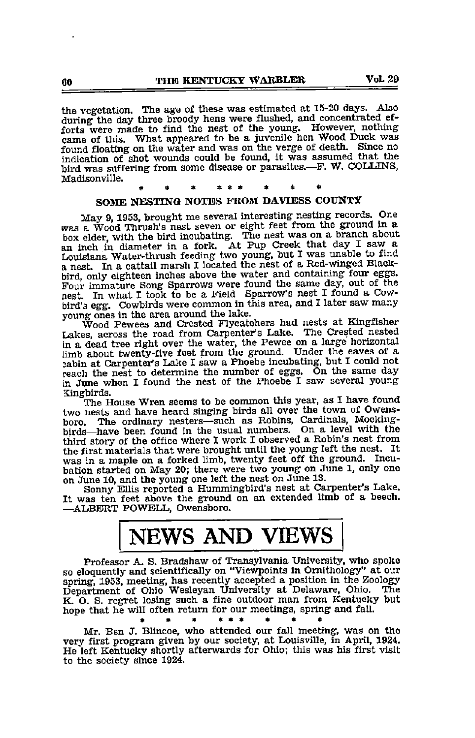the vegetation. The age of these was estimated at 15-20 days. Also during the day three broody hens were flushed, and concentrated efforts were made to find the nest of the young. However, nothing came of this. What appeared to be a juvenile hen Wood Duck was found floating on the water and was on the verge of death. Since no indication of shot wounds could be found, it was assumed that the bird was suffering from some disease or parasites.--F. W. COLLINS, Madisonville. « « « ««« \* « \*

# SOME NESTING NOTES FROM DAVIESS COUNTY

May 9, 1953, brought me several interesting nesting records. One was a Wood Thrush's nest seven or eight feet from the ground in a an inch in diameter in a fork. At Pup Creek that day I saw a Louisiana Water-thrush feeding two young, but I was unable to find a nest. In a cattail marsh I located the nest of a Red-winged Black-bird, only eighteen inches Four immature Song Sparrows were found the same day, out of the nest. In what I took to be a Field Sparrow's nest I found a Cowbird's egg. Cowbirds were common in this area, and I later saw many young ones in the area around the lake.<br>Wood Pewees and Crested Flycatchers had nests at Kingfisher

Lakes, across the road from Carpenter's Lake. The Crested nested in a dead tree right over the water, the Pewee on a large horizontal limb about twenty-five feet from the ground. Under the eaves of a jabin at Carpenter's Lalte I saw a Phoebe incubating, but I could not reach the nest to determine the number of eggs. On the same day in June when I found the nest of the Phoebe I saw several young Xingbirds.

The House Wren seems to be common this year, as I have found two nests and have heard singing birds all over the town of Owensboro. The ordinary nesters—such as Robins, Cardinals, Mocking birds—have been found in the usual numbers. On a level with the third story of the office where I work I observed a Robin's nest from the first materials that were brought until the young left the nest. It was in a maple on a forked limb, twenty feet off the ground. Incu bation started on May 20; there were two young on June 1, only one on June 10, and the young one left the nest on June 13.

Sonny Ellis reported a Hummingbird's nest at Carpenter's Lake. It was ten feet above the ground on an extended limb of a beech. —^ALBERT POWELL, Owensboro.

# NEWS AND VIEWS

Professor A. S. Bradshaw of Transylvania University, who spoke so eloquently and scientifically on "Viewpoints in Ornithology" at our spring, 1953, meeting, has recently accepted a position in the Zoology Department of Ohio Wesleyan University at Delaware, Ohio. The K. O. S. regret losing such a fine outdoor man from Kentucky but hope that he will often return for our meetings, spring and fall. \* \* I\* • • «

Mr. Ben J. Blincoe, who attended our fall meeting, was on the very first program given by our society, at Louisville, in April, 1924. He left Kentucky shortly afterwards for Ohio; this was his first visit to the society since 1924.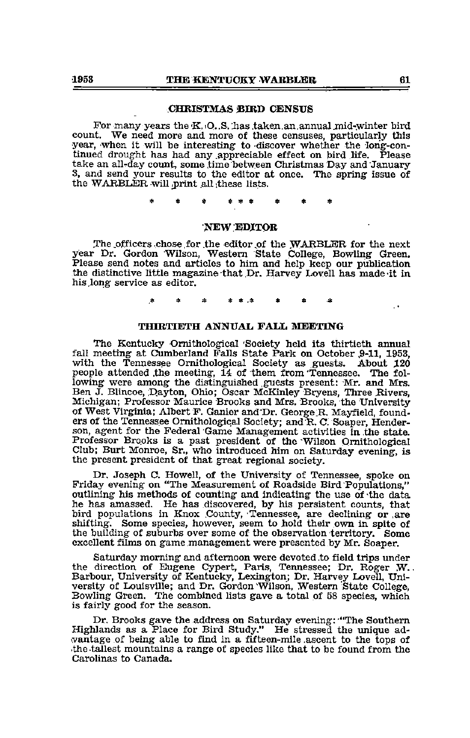# CHRISTMAS BIRD CENSUS

For many years the  $K, O, S$ . has taken an annual mid-winter bird count. We need more and more of these censuses, particularly this year, when it will be interesting to -discover whether the long-continued drought has had any appreciable effect on bird life. Please take an all-day count, some time between Christmas Day and January 3, and send your results to the editor at once. The spring issue of the WARBLER will print all these lists.

# new edjtor

The .officers .chose.for .the editor.of the WARBLER for the next year Dr. Gordon Wilson, Western State College, Bowling Green. Please send notes and articles to him and help keep our publication the distinctive little magazine that Dr. Harvey Lovell has made -it in his.long service as editor.

## THIRTIETH ANNUAL FALL MEETING

The Kentucky Ornithological 'Society held its thirtieth annual fall meeting at Cumberland Falls State Park on October 9-11, 1953, with the Tennessee Ornithological Society as guests. About 120 people attended .the meeting, 14 of them from Tennessee. The fol lowing were among the distinguished guests present: Mr. and Mrs. Ben J. Blincoe, Dayton, Ohio; Oscar McKinley Bryens, Three Rivers, Michigan; Professor Maurice Brooks and Mrs. Brooks, the University of West Virginia; Albert F. Ganier and'Dr. George.R. Mayfield, found ers of the Tennessee Ornithological Society; and R. C. Soaper, Hender son, agent for the Federal Game Management activities in the state. Professor Brooks is a past president of the Wilson Ornithological Club; Burt Monroe, Sr., who introduced him on Saturday evening, is the present president of that great regional society.

Dr. Joseph C. Howell, of the University of Tennessee, spoke on Friday evening on "The Measurement of Roadside Bird Populations," outlining his methods of counting and indicating the use of the data he has amassed. He has discovered, by his persistent counts, that bird populations in Knox County, Tennessee, are declining or are shifting. Some species, however, seem to hold their own in spite of the building of suburbs over some of the observation territory. Some excellent films on game management were presented by Mr. Soaper.

Saturday morning and afternoon were devoted to field trips under the direction of Eugene Cypert, Paris, Tennessee; Dr. Roger W.. Barbour, University of Kentucky, Lexington; Dr. Harvey Lovell, Uni versity of Louisville; and Dr. Gordon Wilson, Western State College, Bowling Green. The combined lists gave a total of 58 species, which is fairly good for the season.

Dr. Brooks gave the address on Saturday evening:'"The Southern Highlands as a Place for Bird Study." He stressed the unique ad- •vantage of being able to find in a fifteen-mile .ascent to the tops of •the-tallest mountains a range of species like that to be found from the Carolinas to Canada.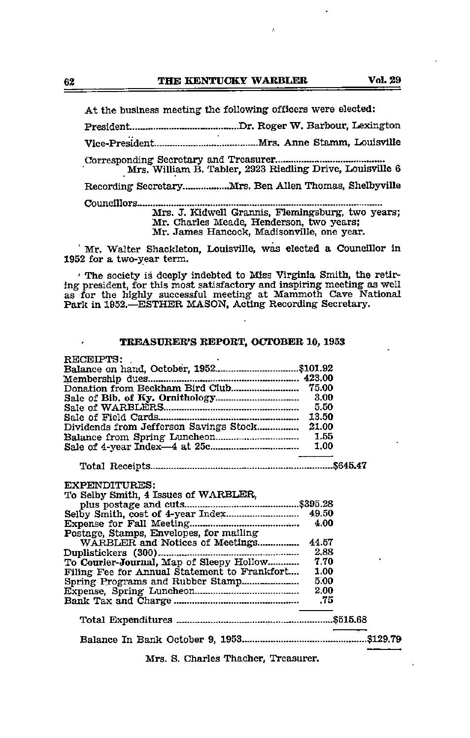At the business meeting the following officers were elected:

President Dr. Roger W. Barbour, Lexington

Vice-President Mrs. Anne Stamm, Louisville

Corresponding Secretary and Treasurer. Mrs. William B. Tabler, 2923 Riedling Drive, Louisville 6

Recording Secretary.................... Mrs. Ben Allen Thomas, Shelbyville

Councillors Mrs. J. Kidwell Grannis, Flemingsburg, two years;

Mr. Charles Meade, Henderson, two years;

Mr. James Hancock, Madisonville, one year.

' Mr. Walter Shackleton, Louisville, was elected a Councillor in 1952 for a two-year term.

' The society is deeply indebted to Miss Virginia Smith, the retir ing president, for this most satisfactory and inspiring meeting as well as for the highly successful meeting at Mammoth Cave National Park in 1952.—ESTHER MASON, Acting Recording Secretary.

### TREASURER'S REPORT, OCTOBER 10, 1953

| RECEIPTS:                                     |        |  |
|-----------------------------------------------|--------|--|
|                                               |        |  |
|                                               |        |  |
|                                               |        |  |
|                                               | 3.00   |  |
|                                               | - 5.50 |  |
|                                               |        |  |
|                                               |        |  |
|                                               |        |  |
|                                               |        |  |
|                                               |        |  |
|                                               |        |  |
|                                               |        |  |
| <b>EXPENDITURES:</b>                          |        |  |
| To Selby Smith, 4 Issues of WARBLER,          |        |  |
|                                               |        |  |
|                                               |        |  |
|                                               | 4.00   |  |
| Postage, Stamps, Envelopes, for mailing       |        |  |
| WARBLER and Notices of Meetings               | 44.57  |  |
|                                               |        |  |
| To Courier-Journal, Map of Sleepy Hollow 7.70 |        |  |
| Filing Fee for Annual Statement to Frankfort  | 1.00   |  |
|                                               | 5.00   |  |
|                                               | 2.00   |  |
|                                               |        |  |
|                                               |        |  |
|                                               |        |  |
|                                               |        |  |
|                                               |        |  |
|                                               |        |  |

Mrs. S. Charles Thacher, Treasurer.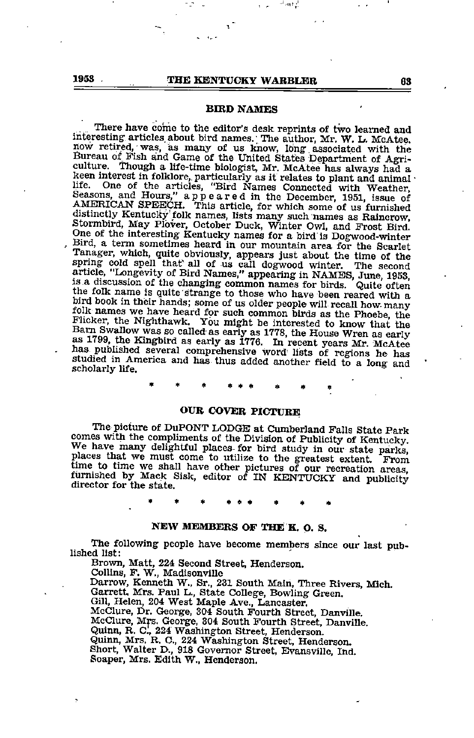# 1953 JUNE THE KENTUCKY WARBLER 63

### BIRD NAMES

There have come to the editor's desk reprints of two learned and interesting articles about bird names. The author, Mr. W. L. McAtee. interesting articles about bird names. The author, Mr. W. L. McAtee. now retired, •was, as many of us know, Iong associated with the Bureau of Fish and Game of the United States Department of Agriculture. Though a life-time biologist, Mr. McAtee has always had a keen interest in folklore, particularly as it relates to plant and animal life. One of the articles, "Bird Names Connected with Weather, Seasons, and Hours," appeared in the December, 1951, issue of AMERICAN SPEECH. This article, for which some of us furnished distinctly Kentucky folk names, lis Stormbird, May Plover, October Duck, Winter Owl, and Frost Bird. One of the interesting- Kentucky names for a bird is Dogwood-winter Bird, <sup>a</sup> term sometimes heard in our mountain area for the Scarlet Tanager, which, quite obviously, appears just about the time of the spring cold spell thaf all of us call dogwood winter. The second article, "Longevity of Bird Names," appearingin NAMES, June, 1953, IS a discussion of the changing common names for birds. Quite often the folk name is quite strange to those who have been reared with a bird book in their hands; some of us older people will recall how many folk names we have heard for such common birds as the Phoebe, the Flicker, the Nighthawk. You might be interested to know that the Barn Swallow was so called as early as 1778, the House Wren as early as 1799, the Kingbird as early as 1776. In recent years Mr. McAtee has published several comprehensive word lists of regions he has studied in America and has thus added another field to a long and scholarly life. studied in America and has thus added another field to a long and

#### OUR COVER PICTURE

The picture of DuPONT LODGE at Cumberland Falls State Park comes with the compliments of the Division of Publicity of Kentucky. comes with the compliments of the Division of Publicity of Kentucky. We have many delightful places for bird study in our state parks, places that we must come to utilize to the greatest extent. From time to time we shall have other pictures of our recreation areas furnished by Mack Sisk, editor of IN KENTUCKY and publicity director for the state.

# NEW MEMBERS OF THE K. O. S.

The following people have become members since our last pub-<br>lished list:

Brown, Matt, 224 Second Street, Henderson. Collins, F. W., Madisonville Darrow, Kenneth W., Sr., 231 South Main, Three Rivers, Mich. Garrett, Mrs. Paul L., State College, Bowling Green. Gill, Helen, 204 West Maple Ave., Lancaster. McClure, Dr. George, 304 South Fourth Street, Danville. McClure, Mrs. George, 304 South Fourth Street, Danville. Quinn, R. C., 224 Washington Street, Henderson. Quinn, Mrs. R. C., 224 Washington Street, Henderson. Short, Walter D., 918 Governor Street, Evansville, Ind. Soaper, Mrs. Edith W., Henderson.